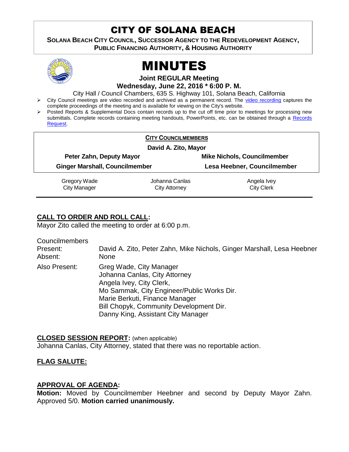# CITY OF SOLANA BEACH

**SOLANA BEACH CITY COUNCIL, SUCCESSOR AGENCY TO THE REDEVELOPMENT AGENCY, PUBLIC FINANCING AUTHORITY, & HOUSING AUTHORITY** 



# MINUTES

**Joint REGULAR Meeting Wednesday, June 22, 2016 \* 6:00 P. M.**

City Hall / Council Chambers, 635 S. Highway 101, Solana Beach, California

- > City Council meetings are video recorded and archived as a permanent record. The [video recording](https://solanabeach.12milesout.com/video/meeting/45355d2f-65bb-4daf-83b1-47217bd5e629) captures the complete proceedings of the meeting and is available for viewing on the City's website.
- Posted Reports & Supplemental Docs contain records up to the cut off time prior to meetings for processing new submittals. Complete records containing meeting handouts, PowerPoints, etc. can be obtained through a Records [Request.](http://www.ci.solana-beach.ca.us/index.asp?SEC=F5D45D10-70CE-4291-A27C-7BD633FC6742&Type=B_BASIC)

|                                       | <b>CITY COUNCILMEMBERS</b> |                                    |  |
|---------------------------------------|----------------------------|------------------------------------|--|
| David A. Zito, Mayor                  |                            |                                    |  |
| Peter Zahn, Deputy Mayor              |                            | <b>Mike Nichols, Councilmember</b> |  |
| <b>Ginger Marshall, Councilmember</b> |                            | Lesa Heebner, Councilmember        |  |
| Gregory Wade                          | Johanna Canlas             | Angela Ivey                        |  |
| <b>City Manager</b>                   | City Attorney              | <b>City Clerk</b>                  |  |

# **CALL TO ORDER AND ROLL CALL:**

Mayor Zito called the meeting to order at 6:00 p.m.

Councilmembers

| Present:      | David A. Zito, Peter Zahn, Mike Nichols, Ginger Marshall, Lesa Heebner                                                                                                                                                                                |
|---------------|-------------------------------------------------------------------------------------------------------------------------------------------------------------------------------------------------------------------------------------------------------|
| Absent:       | <b>None</b>                                                                                                                                                                                                                                           |
| Also Present: | Greg Wade, City Manager<br>Johanna Canlas, City Attorney<br>Angela Ivey, City Clerk,<br>Mo Sammak, City Engineer/Public Works Dir.<br>Marie Berkuti, Finance Manager<br>Bill Chopyk, Community Development Dir.<br>Danny King, Assistant City Manager |

**CLOSED SESSION REPORT:** (when applicable) Johanna Canlas, City Attorney, stated that there was no reportable action.

# **FLAG SALUTE:**

# **APPROVAL OF AGENDA:**

**Motion:** Moved by Councilmember Heebner and second by Deputy Mayor Zahn. Approved 5/0. **Motion carried unanimously.**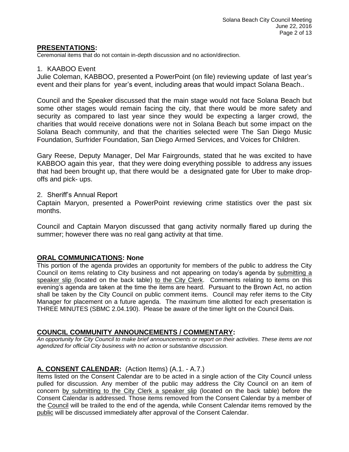#### **PRESENTATIONS:**

Ceremonial items that do not contain in-depth discussion and no action/direction.

#### 1. KAABOO Event

Julie Coleman, KABBOO, presented a PowerPoint (on file) reviewing update of last year's event and their plans for year's event, including areas that would impact Solana Beach..

Council and the Speaker discussed that the main stage would not face Solana Beach but some other stages would remain facing the city, that there would be more safety and security as compared to last year since they would be expecting a larger crowd, the charities that would receive donations were not in Solana Beach but some impact on the Solana Beach community, and that the charities selected were The San Diego Music Foundation, Surfrider Foundation, San Diego Armed Services, and Voices for Children.

Gary Reese, Deputy Manager, Del Mar Fairgrounds, stated that he was excited to have KABBOO again this year, that they were doing everything possible to address any issues that had been brought up, that there would be a designated gate for Uber to make dropoffs and pick- ups.

#### 2. Sheriff's Annual Report

Captain Maryon, presented a PowerPoint reviewing crime statistics over the past six months.

Council and Captain Maryon discussed that gang activity normally flared up during the summer; however there was no real gang activity at that time.

#### **ORAL COMMUNICATIONS: None**

This portion of the agenda provides an opportunity for members of the public to address the City Council on items relating to City business and not appearing on today's agenda by submitting a speaker slip (located on the back table) to the City Clerk. Comments relating to items on this evening's agenda are taken at the time the items are heard. Pursuant to the Brown Act, no action shall be taken by the City Council on public comment items. Council may refer items to the City Manager for placement on a future agenda. The maximum time allotted for each presentation is THREE MINUTES (SBMC 2.04.190). Please be aware of the timer light on the Council Dais.

#### **COUNCIL COMMUNITY ANNOUNCEMENTS / COMMENTARY:**

*An opportunity for City Council to make brief announcements or report on their activities. These items are not agendized for official City business with no action or substantive discussion.* 

# **A. CONSENT CALENDAR:** (Action Items) (A.1. - A.7.)

Items listed on the Consent Calendar are to be acted in a single action of the City Council unless pulled for discussion. Any member of the public may address the City Council on an item of concern by submitting to the City Clerk a speaker slip (located on the back table) before the Consent Calendar is addressed. Those items removed from the Consent Calendar by a member of the Council will be trailed to the end of the agenda, while Consent Calendar items removed by the public will be discussed immediately after approval of the Consent Calendar.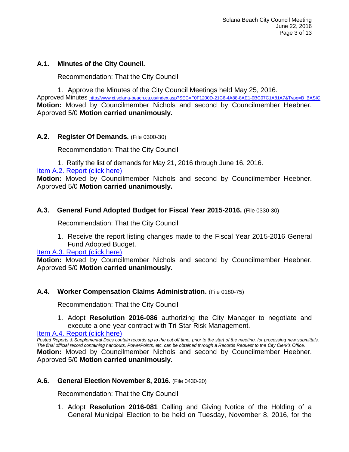# **A.1. Minutes of the City Council.**

Recommendation: That the City Council

1. Approve the Minutes of the City Council Meetings held May 25, 2016.

Approved Minutes [http://www.ci.solana-beach.ca.us/index.asp?SEC=F0F1200D-21C6-4A88-8AE1-0BC07C1A81A7&Type=B\\_BASIC](http://www.ci.solana-beach.ca.us/index.asp?SEC=F0F1200D-21C6-4A88-8AE1-0BC07C1A81A7&Type=B_BASIC) **Motion:** Moved by Councilmember Nichols and second by Councilmember Heebner. Approved 5/0 **Motion carried unanimously.**

# **A.2. Register Of Demands.** (File 0300-30)

Recommendation: That the City Council

1. Ratify the list of demands for May 21, 2016 through June 16, 2016.

[Item A.2. Report \(click here\)](https://solanabeach.govoffice3.com/vertical/Sites/%7B840804C2-F869-4904-9AE3-720581350CE7%7D/uploads/Item_A.2._Report_(click_here)_06-22-16.PDF)

**Motion:** Moved by Councilmember Nichols and second by Councilmember Heebner. Approved 5/0 **Motion carried unanimously.**

# **A.3. General Fund Adopted Budget for Fiscal Year 2015-2016.** (File 0330-30)

Recommendation: That the City Council

1. Receive the report listing changes made to the Fiscal Year 2015-2016 General Fund Adopted Budget.

# [Item A.3. Report \(click here\)](https://solanabeach.govoffice3.com/vertical/Sites/%7B840804C2-F869-4904-9AE3-720581350CE7%7D/uploads/Item_A.3._Report_(click_here)_06-22-16.PDF)

**Motion:** Moved by Councilmember Nichols and second by Councilmember Heebner. Approved 5/0 **Motion carried unanimously.**

# **A.4. Worker Compensation Claims Administration.** (File 0180-75)

Recommendation: That the City Council

1. Adopt **Resolution 2016-086** authorizing the City Manager to negotiate and execute a one-year contract with Tri-Star Risk Management.

[Item A.4. Report \(click here\)](https://solanabeach.govoffice3.com/vertical/Sites/%7B840804C2-F869-4904-9AE3-720581350CE7%7D/uploads/Item_A.4._Report_(click_here)_06-22-16.PDF)

*Posted Reports & Supplemental Docs contain records up to the cut off time, prior to the start of the meeting, for processing new submittals. The final official record containing handouts, PowerPoints, etc. can be obtained through a Records Request to the City Clerk's Office.* **Motion:** Moved by Councilmember Nichols and second by Councilmember Heebner. Approved 5/0 **Motion carried unanimously.**

# **A.6. General Election November 8, 2016.** (File 0430-20)

Recommendation: That the City Council

1. Adopt **Resolution 2016-081** Calling and Giving Notice of the Holding of a General Municipal Election to be held on Tuesday, November 8, 2016, for the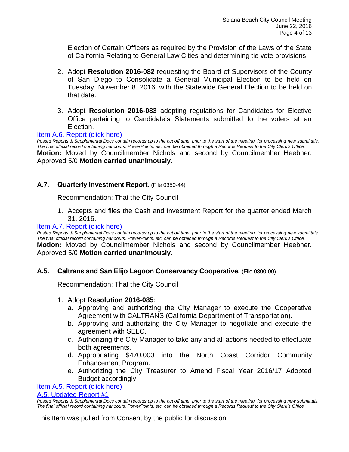Election of Certain Officers as required by the Provision of the Laws of the State of California Relating to General Law Cities and determining tie vote provisions.

- 2. Adopt **Resolution 2016-082** requesting the Board of Supervisors of the County of San Diego to Consolidate a General Municipal Election to be held on Tuesday, November 8, 2016, with the Statewide General Election to be held on that date.
- 3. Adopt **Resolution 2016-083** adopting regulations for Candidates for Elective Office pertaining to Candidate's Statements submitted to the voters at an Election.

#### [Item A.6. Report \(click here\)](https://solanabeach.govoffice3.com/vertical/Sites/%7B840804C2-F869-4904-9AE3-720581350CE7%7D/uploads/Item_A.6._Report_(click_here)_06-22-16.PDF)

*Posted Reports & Supplemental Docs contain records up to the cut off time, prior to the start of the meeting, for processing new submittals. The final official record containing handouts, PowerPoints, etc. can be obtained through a Records Request to the City Clerk's Office.* **Motion:** Moved by Councilmember Nichols and second by Councilmember Heebner. Approved 5/0 **Motion carried unanimously.**

#### **A.7. Quarterly Investment Report.** (File 0350-44)

Recommendation: That the City Council

1. Accepts and files the Cash and Investment Report for the quarter ended March 31, 2016.

#### [Item A.7. Report \(click here\)](https://solanabeach.govoffice3.com/vertical/Sites/%7B840804C2-F869-4904-9AE3-720581350CE7%7D/uploads/Item_A.7._Report_(click_here)_06-22-16.PDF)

*Posted Reports & Supplemental Docs contain records up to the cut off time, prior to the start of the meeting, for processing new submittals. The final official record containing handouts, PowerPoints, etc. can be obtained through a Records Request to the City Clerk's Office.*

**Motion:** Moved by Councilmember Nichols and second by Councilmember Heebner. Approved 5/0 **Motion carried unanimously.**

#### **A.5. Caltrans and San Elijo Lagoon Conservancy Cooperative.** (File 0800-00)

Recommendation: That the City Council

#### 1. Adopt **Resolution 2016-085**:

- a. Approving and authorizing the City Manager to execute the Cooperative Agreement with CALTRANS (California Department of Transportation).
- b. Approving and authorizing the City Manager to negotiate and execute the agreement with SELC.
- c. Authorizing the City Manager to take any and all actions needed to effectuate both agreements.
- d. Appropriating \$470,000 into the North Coast Corridor Community Enhancement Program.
- e. Authorizing the City Treasurer to Amend Fiscal Year 2016/17 Adopted Budget accordingly.

#### [Item A.5. Report \(click here\)](https://solanabeach.govoffice3.com/vertical/Sites/%7B840804C2-F869-4904-9AE3-720581350CE7%7D/uploads/Item_A.5._Report_(click_here)_06-22-16.PDF)

#### [A.5. Updated Report #1](https://solanabeach.govoffice3.com/vertical/Sites/%7B840804C2-F869-4904-9AE3-720581350CE7%7D/uploads/A.5._Updated_Report_1_6-22-16.pdf)

This Item was pulled from Consent by the public for discussion.

*Posted Reports & Supplemental Docs contain records up to the cut off time, prior to the start of the meeting, for processing new submittals. The final official record containing handouts, PowerPoints, etc. can be obtained through a Records Request to the City Clerk's Office.*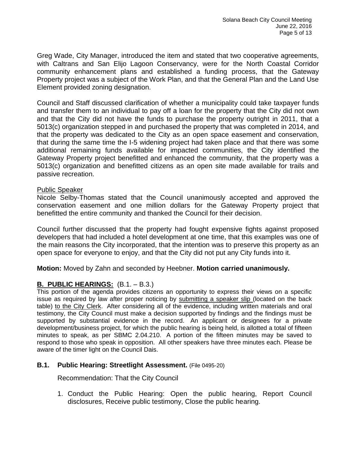Greg Wade, City Manager, introduced the item and stated that two cooperative agreements, with Caltrans and San Elijo Lagoon Conservancy, were for the North Coastal Corridor community enhancement plans and established a funding process, that the Gateway Property project was a subject of the Work Plan, and that the General Plan and the Land Use Element provided zoning designation.

Council and Staff discussed clarification of whether a municipality could take taxpayer funds and transfer them to an individual to pay off a loan for the property that the City did not own and that the City did not have the funds to purchase the property outright in 2011, that a 5013(c) organization stepped in and purchased the property that was completed in 2014, and that the property was dedicated to the City as an open space easement and conservation, that during the same time the I-5 widening project had taken place and that there was some additional remaining funds available for impacted communities, the City identified the Gateway Property project benefitted and enhanced the community, that the property was a 5013(c) organization and benefitted citizens as an open site made available for trails and passive recreation.

#### Public Speaker

Nicole Selby-Thomas stated that the Council unanimously accepted and approved the conservation easement and one million dollars for the Gateway Property project that benefitted the entire community and thanked the Council for their decision.

Council further discussed that the property had fought expensive fights against proposed developers that had included a hotel development at one time, that this examples was one of the main reasons the City incorporated, that the intention was to preserve this property as an open space for everyone to enjoy, and that the City did not put any City funds into it.

**Motion:** Moved by Zahn and seconded by Heebner. **Motion carried unanimously.**

# **B. PUBLIC HEARINGS:** (B.1. – B.3.)

This portion of the agenda provides citizens an opportunity to express their views on a specific issue as required by law after proper noticing by submitting a speaker slip (located on the back table) to the City Clerk. After considering all of the evidence, including written materials and oral testimony, the City Council must make a decision supported by findings and the findings must be supported by substantial evidence in the record. An applicant or designees for a private development/business project, for which the public hearing is being held, is allotted a total of fifteen minutes to speak, as per SBMC 2.04.210. A portion of the fifteen minutes may be saved to respond to those who speak in opposition. All other speakers have three minutes each. Please be aware of the timer light on the Council Dais.

# **B.1. Public Hearing: Streetlight Assessment.** (File 0495-20)

Recommendation: That the City Council

1. Conduct the Public Hearing: Open the public hearing, Report Council disclosures, Receive public testimony, Close the public hearing.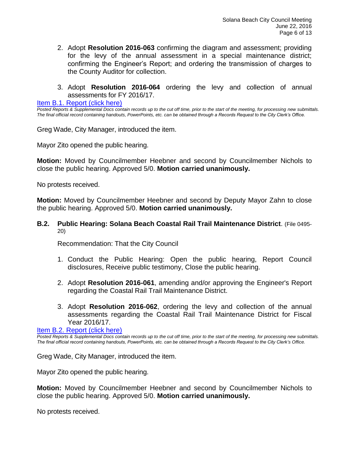- 2. Adopt **Resolution 2016-063** confirming the diagram and assessment; providing for the levy of the annual assessment in a special maintenance district; confirming the Engineer's Report; and ordering the transmission of charges to the County Auditor for collection.
- 3. Adopt **Resolution 2016-064** ordering the levy and collection of annual assessments for FY 2016/17.

[Item B.1. Report \(click here\)](https://solanabeach.govoffice3.com/vertical/Sites/%7B840804C2-F869-4904-9AE3-720581350CE7%7D/uploads/Item_B.1._Report_(click_here)_06-22-16.PDF)

*Posted Reports & Supplemental Docs contain records up to the cut off time, prior to the start of the meeting, for processing new submittals. The final official record containing handouts, PowerPoints, etc. can be obtained through a Records Request to the City Clerk's Office.*

Greg Wade, City Manager, introduced the item.

Mayor Zito opened the public hearing.

**Motion:** Moved by Councilmember Heebner and second by Councilmember Nichols to close the public hearing. Approved 5/0. **Motion carried unanimously.**

No protests received.

**Motion:** Moved by Councilmember Heebner and second by Deputy Mayor Zahn to close the public hearing. Approved 5/0. **Motion carried unanimously.**

**B.2. Public Hearing: Solana Beach Coastal Rail Trail Maintenance District**. (File 0495- 20)

Recommendation: That the City Council

- 1. Conduct the Public Hearing: Open the public hearing, Report Council disclosures, Receive public testimony, Close the public hearing.
- 2. Adopt **Resolution 2016-061**, amending and/or approving the Engineer's Report regarding the Coastal Rail Trail Maintenance District.
- 3. Adopt **Resolution 2016-062**, ordering the levy and collection of the annual assessments regarding the Coastal Rail Trail Maintenance District for Fiscal Year 2016/17.

[Item B.2. Report \(click here\)](https://solanabeach.govoffice3.com/vertical/Sites/%7B840804C2-F869-4904-9AE3-720581350CE7%7D/uploads/Item_B.2._Report_(click_here)_06-22-16.PDF)

*Posted Reports & Supplemental Docs contain records up to the cut off time, prior to the start of the meeting, for processing new submittals. The final official record containing handouts, PowerPoints, etc. can be obtained through a Records Request to the City Clerk's Office.*

Greg Wade, City Manager, introduced the item.

Mayor Zito opened the public hearing.

**Motion:** Moved by Councilmember Heebner and second by Councilmember Nichols to close the public hearing. Approved 5/0. **Motion carried unanimously.**

No protests received.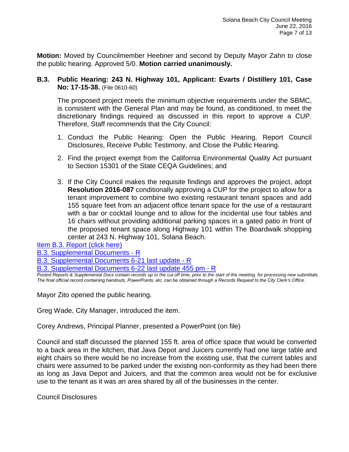**Motion:** Moved by Councilmember Heebner and second by Deputy Mayor Zahn to close the public hearing. Approved 5/0. **Motion carried unanimously.**

## **B.3. Public Hearing: 243 N. Highway 101, Applicant: Evarts / Distillery 101, Case No: 17-15-38.** (File 0610-60)

The proposed project meets the minimum objective requirements under the SBMC, is consistent with the General Plan and may be found, as conditioned, to meet the discretionary findings required as discussed in this report to approve a CUP. Therefore, Staff recommends that the City Council:

- 1. Conduct the Public Hearing: Open the Public Hearing, Report Council Disclosures, Receive Public Testimony, and Close the Public Hearing.
- 2. Find the project exempt from the California Environmental Quality Act pursuant to Section 15301 of the State CEQA Guidelines; and
- 3. If the City Council makes the requisite findings and approves the project, adopt **Resolution 2016-087** conditionally approving a CUP for the project to allow for a tenant improvement to combine two existing restaurant tenant spaces and add 155 square feet from an adjacent office tenant space for the use of a restaurant with a bar or cocktail lounge and to allow for the incidental use four tables and 16 chairs without providing additional parking spaces in a gated patio in front of the proposed tenant space along Highway 101 within The Boardwalk shopping center at 243 N. Highway 101, Solana Beach.

[Item B.3. Report \(click here\)](https://solanabeach.govoffice3.com/vertical/Sites/%7B840804C2-F869-4904-9AE3-720581350CE7%7D/uploads/Item_B.3._Report_(click_here)_06-22-16.PDF)

[B.3. Supplemental Documents -](https://solanabeach.govoffice3.com/vertical/Sites/%7B840804C2-F869-4904-9AE3-720581350CE7%7D/uploads/B.3._Supplemental_Documents_-_R_-_6-22-16.pdf) R

[B.3. Supplemental Documents 6-21 last update -](https://solanabeach.govoffice3.com/vertical/Sites/%7B840804C2-F869-4904-9AE3-720581350CE7%7D/uploads/B.3._Supplemental_Documents__6-21_last_update_-_R_6-22-16.pdf) R

[B.3. Supplemental Documents 6-22 last update](https://solanabeach.govoffice3.com/vertical/Sites/%7B840804C2-F869-4904-9AE3-720581350CE7%7D/uploads/B.3._Supplemental_Documents__6-22_last_update_at_455pm_-_R_6-22-16.pdf) 455 pm - R

*Posted Reports & Supplemental Docs contain records up to the cut off time, prior to the start of the meeting, for processing new submittals. The final official record containing handouts, PowerPoints, etc. can be obtained through a Records Request to the City Clerk's Office.*

Mayor Zito opened the public hearing.

Greg Wade, City Manager, introduced the item.

Corey Andrews, Principal Planner, presented a PowerPoint (on file)

Council and staff discussed the planned 155 ft. area of office space that would be converted to a back area in the kitchen, that Java Depot and Juicers currently had one large table and eight chairs so there would be no increase from the existing use, that the current tables and chairs were assumed to be parked under the existing non-conformity as they had been there as long as Java Depot and Juicers, and that the common area would not be for exclusive use to the tenant as it was an area shared by all of the businesses in the center.

Council Disclosures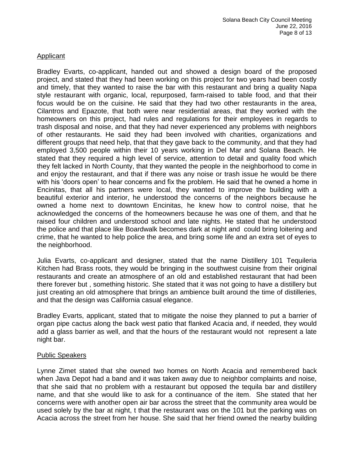# **Applicant**

Bradley Evarts, co-applicant, handed out and showed a design board of the proposed project, and stated that they had been working on this project for two years had been costly and timely, that they wanted to raise the bar with this restaurant and bring a quality Napa style restaurant with organic, local, repurposed, farm-raised to table food, and that their focus would be on the cuisine. He said that they had two other restaurants in the area, Cilantros and Epazote, that both were near residential areas, that they worked with the homeowners on this project, had rules and regulations for their employees in regards to trash disposal and noise, and that they had never experienced any problems with neighbors of other restaurants. He said they had been involved with charities, organizations and different groups that need help, that that they gave back to the community, and that they had employed 3,500 people within their 10 years working in Del Mar and Solana Beach. He stated that they required a high level of service, attention to detail and quality food which they felt lacked in North County, that they wanted the people in the neighborhood to come in and enjoy the restaurant, and that if there was any noise or trash issue he would be there with his 'doors open' to hear concerns and fix the problem. He said that he owned a home in Encinitas, that all his partners were local, they wanted to improve the building with a beautiful exterior and interior, he understood the concerns of the neighbors because he owned a home next to downtown Encinitas, he knew how to control noise, that he acknowledged the concerns of the homeowners because he was one of them, and that he raised four children and understood school and late nights. He stated that he understood the police and that place like Boardwalk becomes dark at night and could bring loitering and crime, that he wanted to help police the area, and bring some life and an extra set of eyes to the neighborhood.

Julia Evarts, co-applicant and designer, stated that the name Distillery 101 Tequileria Kitchen had Brass roots, they would be bringing in the southwest cuisine from their original restaurants and create an atmosphere of an old and established restaurant that had been there forever but , something historic. She stated that it was not going to have a distillery but just creating an old atmosphere that brings an ambience built around the time of distilleries, and that the design was California casual elegance.

Bradley Evarts, applicant, stated that to mitigate the noise they planned to put a barrier of organ pipe cactus along the back west patio that flanked Acacia and, if needed, they would add a glass barrier as well, and that the hours of the restaurant would not represent a late night bar.

# Public Speakers

Lynne Zimet stated that she owned two homes on North Acacia and remembered back when Java Depot had a band and it was taken away due to neighbor complaints and noise, that she said that no problem with a restaurant but opposed the tequila bar and distillery name, and that she would like to ask for a continuance of the item. She stated that her concerns were with another open air bar across the street that the community area would be used solely by the bar at night, t that the restaurant was on the 101 but the parking was on Acacia across the street from her house. She said that her friend owned the nearby building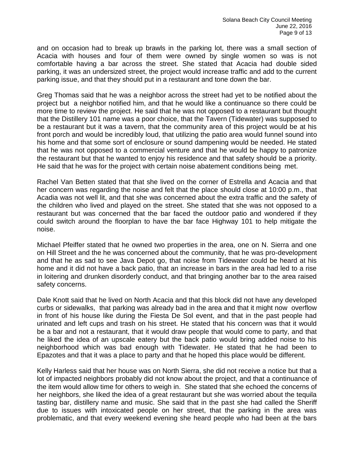and on occasion had to break up brawls in the parking lot, there was a small section of Acacia with houses and four of them were owned by single women so was is not comfortable having a bar across the street. She stated that Acacia had double sided parking, it was an undersized street, the project would increase traffic and add to the current parking issue, and that they should put in a restaurant and tone down the bar.

Greg Thomas said that he was a neighbor across the street had yet to be notified about the project but a neighbor notified him, and that he would like a continuance so there could be more time to review the project. He said that he was not opposed to a restaurant but thought that the Distillery 101 name was a poor choice, that the Tavern (Tidewater) was supposed to be a restaurant but it was a tavern, that the community area of this project would be at his front porch and would be incredibly loud, that utilizing the patio area would funnel sound into his home and that some sort of enclosure or sound dampening would be needed. He stated that he was not opposed to a commercial venture and that he would be happy to patronize the restaurant but that he wanted to enjoy his residence and that safety should be a priority. He said that he was for the project with certain noise abatement conditions being met.

Rachel Van Betten stated that that she lived on the corner of Estrella and Acacia and that her concern was regarding the noise and felt that the place should close at 10:00 p.m., that Acadia was not well lit, and that she was concerned about the extra traffic and the safety of the children who lived and played on the street. She stated that she was not opposed to a restaurant but was concerned that the bar faced the outdoor patio and wondered if they could switch around the floorplan to have the bar face Highway 101 to help mitigate the noise.

Michael Pfeiffer stated that he owned two properties in the area, one on N. Sierra and one on Hill Street and the he was concerned about the community, that he was pro-development and that he as sad to see Java Depot go, that noise from Tidewater could be heard at his home and it did not have a back patio, that an increase in bars in the area had led to a rise in loitering and drunken disorderly conduct, and that bringing another bar to the area raised safety concerns.

Dale Knott said that he lived on North Acacia and that this block did not have any developed curbs or sidewalks, that parking was already bad in the area and that it might now overflow in front of his house like during the Fiesta De Sol event, and that in the past people had urinated and left cups and trash on his street. He stated that his concern was that it would be a bar and not a restaurant, that it would draw people that would come to party, and that he liked the idea of an upscale eatery but the back patio would bring added noise to his neighborhood which was bad enough with Tidewater. He stated that he had been to Epazotes and that it was a place to party and that he hoped this place would be different.

Kelly Harless said that her house was on North Sierra, she did not receive a notice but that a lot of impacted neighbors probably did not know about the project, and that a continuance of the item would allow time for others to weigh in. She stated that she echoed the concerns of her neighbors, she liked the idea of a great restaurant but she was worried about the tequila tasting bar, distillery name and music. She said that in the past she had called the Sheriff due to issues with intoxicated people on her street, that the parking in the area was problematic, and that every weekend evening she heard people who had been at the bars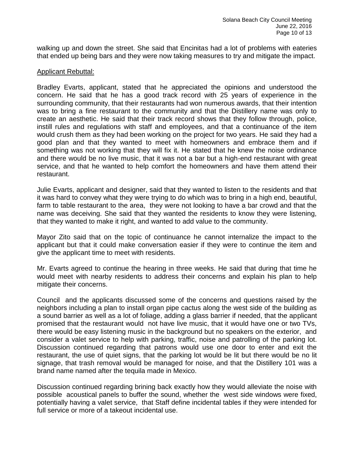walking up and down the street. She said that Encinitas had a lot of problems with eateries that ended up being bars and they were now taking measures to try and mitigate the impact.

#### Applicant Rebuttal:

Bradley Evarts, applicant, stated that he appreciated the opinions and understood the concern. He said that he has a good track record with 25 years of experience in the surrounding community, that their restaurants had won numerous awards, that their intention was to bring a fine restaurant to the community and that the Distillery name was only to create an aesthetic. He said that their track record shows that they follow through, police, instill rules and regulations with staff and employees, and that a continuance of the item would crush them as they had been working on the project for two years. He said they had a good plan and that they wanted to meet with homeowners and embrace them and if something was not working that they will fix it. He stated that he knew the noise ordinance and there would be no live music, that it was not a bar but a high-end restaurant with great service, and that he wanted to help comfort the homeowners and have them attend their restaurant.

Julie Evarts, applicant and designer, said that they wanted to listen to the residents and that it was hard to convey what they were trying to do which was to bring in a high end, beautiful, farm to table restaurant to the area, they were not looking to have a bar crowd and that the name was deceiving. She said that they wanted the residents to know they were listening, that they wanted to make it right, and wanted to add value to the community.

Mayor Zito said that on the topic of continuance he cannot internalize the impact to the applicant but that it could make conversation easier if they were to continue the item and give the applicant time to meet with residents.

Mr. Evarts agreed to continue the hearing in three weeks. He said that during that time he would meet with nearby residents to address their concerns and explain his plan to help mitigate their concerns.

Council and the applicants discussed some of the concerns and questions raised by the neighbors including a plan to install organ pipe cactus along the west side of the building as a sound barrier as well as a lot of foliage, adding a glass barrier if needed, that the applicant promised that the restaurant would not have live music, that it would have one or two TVs, there would be easy listening music in the background but no speakers on the exterior, and consider a valet service to help with parking, traffic, noise and patrolling of the parking lot. Discussion continued regarding that patrons would use one door to enter and exit the restaurant, the use of quiet signs, that the parking lot would be lit but there would be no lit signage, that trash removal would be managed for noise, and that the Distillery 101 was a brand name named after the tequila made in Mexico.

Discussion continued regarding brining back exactly how they would alleviate the noise with possible acoustical panels to buffer the sound, whether the west side windows were fixed, potentially having a valet service, that Staff define incidental tables if they were intended for full service or more of a takeout incidental use.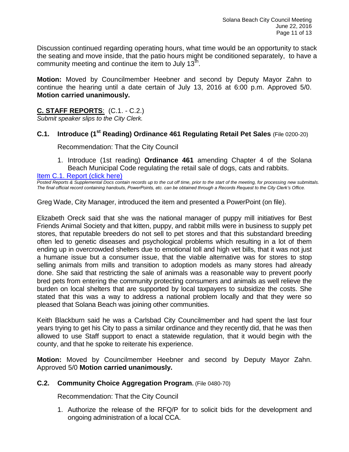Discussion continued regarding operating hours, what time would be an opportunity to stack the seating and move inside, that the patio hours might be conditioned separately, to have a community meeting and continue the item to July  $13^{\text{th}}$ .

**Motion:** Moved by Councilmember Heebner and second by Deputy Mayor Zahn to continue the hearing until a date certain of July 13, 2016 at 6:00 p.m. Approved 5/0. **Motion carried unanimously.**

# **C. STAFF REPORTS**: (C.1. - C.2.)

*Submit speaker slips to the City Clerk.*

#### **C.1. Introduce (1st Reading) Ordinance 461 Regulating Retail Pet Sales** (File 0200-20)

Recommendation: That the City Council

1. Introduce (1st reading) **Ordinance 461** amending Chapter 4 of the Solana Beach Municipal Code regulating the retail sale of dogs, cats and rabbits.

[Item C.1. Report \(click here\)](https://solanabeach.govoffice3.com/vertical/Sites/%7B840804C2-F869-4904-9AE3-720581350CE7%7D/uploads/Item_C.1._Report_(click_here)_06-22-16.PDF)

*Posted Reports & Supplemental Docs contain records up to the cut off time, prior to the start of the meeting, for processing new submittals. The final official record containing handouts, PowerPoints, etc. can be obtained through a Records Request to the City Clerk's Office.*

Greg Wade, City Manager, introduced the item and presented a PowerPoint (on file).

Elizabeth Oreck said that she was the national manager of puppy mill initiatives for Best Friends Animal Society and that kitten, puppy, and rabbit mills were in business to supply pet stores, that reputable breeders do not sell to pet stores and that this substandard breeding often led to genetic diseases and psychological problems which resulting in a lot of them ending up in overcrowded shelters due to emotional toll and high vet bills, that it was not just a humane issue but a consumer issue, that the viable alternative was for stores to stop selling animals from mills and transition to adoption models as many stores had already done. She said that restricting the sale of animals was a reasonable way to prevent poorly bred pets from entering the community protecting consumers and animals as well relieve the burden on local shelters that are supported by local taxpayers to subsidize the costs. She stated that this was a way to address a national problem locally and that they were so pleased that Solana Beach was joining other communities.

Keith Blackburn said he was a Carlsbad City Councilmember and had spent the last four years trying to get his City to pass a similar ordinance and they recently did, that he was then allowed to use Staff support to enact a statewide regulation, that it would begin with the county, and that he spoke to reiterate his experience.

**Motion:** Moved by Councilmember Heebner and second by Deputy Mayor Zahn. Approved 5/0 **Motion carried unanimously.**

#### **C.2. Community Choice Aggregation Program.** (File 0480-70)

Recommendation: That the City Council

1. Authorize the release of the RFQ/P for to solicit bids for the development and ongoing administration of a local CCA.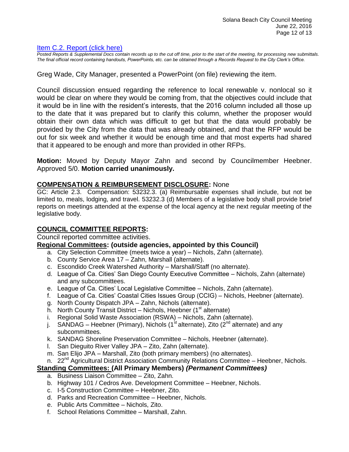#### [Item C.2. Report \(click here\)](https://solanabeach.govoffice3.com/vertical/Sites/%7B840804C2-F869-4904-9AE3-720581350CE7%7D/uploads/Item_C.2._Report_(click_here)_06-22-16.PDF)

*Posted Reports & Supplemental Docs contain records up to the cut off time, prior to the start of the meeting, for processing new submittals. The final official record containing handouts, PowerPoints, etc. can be obtained through a Records Request to the City Clerk's Office.*

Greg Wade, City Manager, presented a PowerPoint (on file) reviewing the item.

Council discussion ensued regarding the reference to local renewable v. nonlocal so it would be clear on where they would be coming from, that the objectives could include that it would be in line with the resident's interests, that the 2016 column included all those up to the date that it was prepared but to clarify this column, whether the proposer would obtain their own data which was difficult to get but that the data would probably be provided by the City from the data that was already obtained, and that the RFP would be out for six week and whether it would be enough time and that most experts had shared that it appeared to be enough and more than provided in other RFPs.

**Motion:** Moved by Deputy Mayor Zahn and second by Councilmember Heebner. Approved 5/0. **Motion carried unanimously.**

#### **COMPENSATION & REIMBURSEMENT DISCLOSURE:** None

GC: Article 2.3. Compensation: 53232.3. (a) Reimbursable expenses shall include, but not be limited to, meals, lodging, and travel. 53232.3 (d) Members of a legislative body shall provide brief reports on meetings attended at the expense of the local agency at the next regular meeting of the legislative body.

#### **COUNCIL COMMITTEE REPORTS:**

Council reported committee activities.

#### **Regional Committees: (outside agencies, appointed by this Council)**

- a. City Selection Committee (meets twice a year) Nichols, Zahn (alternate).
- b. County Service Area 17 Zahn, Marshall (alternate).
- c. Escondido Creek Watershed Authority Marshall/Staff (no alternate).
- d. League of Ca. Cities' San Diego County Executive Committee Nichols, Zahn (alternate) and any subcommittees.
- e. League of Ca. Cities' Local Legislative Committee Nichols, Zahn (alternate).
- f. League of Ca. Cities' Coastal Cities Issues Group (CCIG) Nichols, Heebner (alternate).
- g. North County Dispatch JPA Zahn, Nichols (alternate).
- h. North County Transit District Nichols, Heebner  $(1<sup>st</sup>$  alternate)
- i. Regional Solid Waste Association (RSWA) Nichols, Zahn (alternate).
- j. SANDAG Heebner (Primary), Nichols (1<sup>st</sup> alternate), Zito (2<sup>nd</sup> alternate) and any subcommittees.
- k. SANDAG Shoreline Preservation Committee Nichols, Heebner (alternate).
- l. San Dieguito River Valley JPA Zito, Zahn (alternate).
- m. San Elijo JPA Marshall, Zito (both primary members) (no alternates).
- n. 22<sup>nd</sup> Agricultural District Association Community Relations Committee Heebner, Nichols.

#### **Standing Committees: (All Primary Members)** *(Permanent Committees)*

- a. Business Liaison Committee Zito, Zahn.
- b. Highway 101 / Cedros Ave. Development Committee Heebner, Nichols.
- c. I-5 Construction Committee Heebner, Zito.
- d. Parks and Recreation Committee Heebner, Nichols.
- e. Public Arts Committee Nichols, Zito.
- f. School Relations Committee Marshall, Zahn.